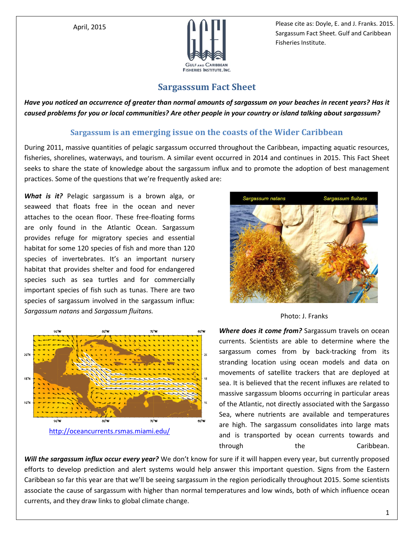

April, 2015 **April, 2015 Please cite as: Doyle, E. and J. Franks. 2015.** Sargassum Fact Sheet. Gulf and Caribbean Fisheries Institute.

## **Sargasssum Fact Sheet**

*Have you noticed an occurrence of greater than normal amounts of sargassum on your beaches in recent years? Has it caused problems for you or local communities? Are other people in your country or island talking about sargassum?* 

## **Sargassum is an emerging issue on the coasts of the Wider Caribbean**

During 2011, massive quantities of pelagic sargassum occurred throughout the Caribbean, impacting aquatic resources, fisheries, shorelines, waterways, and tourism. A similar event occurred in 2014 and continues in 2015. This Fact Sheet seeks to share the state of knowledge about the sargassum influx and to promote the adoption of best management practices. Some of the questions that we're frequently asked are:

*What is it?* Pelagic sargassum is a brown alga, or seaweed that floats free in the ocean and never attaches to the ocean floor. These free-floating forms are only found in the Atlantic Ocean. Sargassum provides refuge for migratory species and essential habitat for some 120 species of fish and more than 120 species of invertebrates. It's an important nursery habitat that provides shelter and food for endangered species such as sea turtles and for commercially important species of fish such as tunas. There are two species of sargassum involved in the sargassum influx: *Sargassum natans* and *Sargassum fluitans.* Photo: J. Franks



<http://oceancurrents.rsmas.miami.edu/>



*Where does it come from?* Sargassum travels on ocean currents. Scientists are able to determine where the sargassum comes from by back-tracking from its stranding location using ocean models and data on movements of satellite trackers that are deployed at sea. It is believed that the recent influxes are related to massive sargassum blooms occurring in particular areas of the Atlantic, not directly associated with the Sargasso Sea, where nutrients are available and temperatures are high. The sargassum consolidates into large mats and is transported by ocean currents towards and through the Caribbean.

*Will the sargassum influx occur every year?* We don't know for sure if it will happen every year, but currently proposed efforts to develop prediction and alert systems would help answer this important question. Signs from the Eastern Caribbean so far this year are that we'll be seeing sargassum in the region periodically throughout 2015. Some scientists associate the cause of sargassum with higher than normal temperatures and low winds, both of which influence ocean currents, and they draw links to global climate change.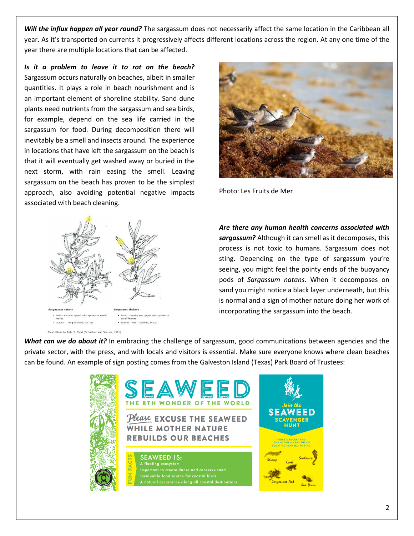*Will the influx happen all year round?* The sargassum does not necessarily affect the same location in the Caribbean all year. As it's transported on currents it progressively affects different locations across the region. At any one time of the year there are multiple locations that can be affected.

*Is it a problem to leave it to rot on the beach?* Sargassum occurs naturally on beaches, albeit in smaller quantities. It plays a role in beach nourishment and is an important element of shoreline stability. Sand dune plants need nutrients from the sargassum and sea birds, for example, depend on the sea life carried in the sargassum for food. During decomposition there will inevitably be a smell and insects around. The experience in locations that have left the sargassum on the beach is that it will eventually get washed away or buried in the next storm, with rain easing the smell. Leaving sargassum on the beach has proven to be the simplest approach, also avoiding potential negative impacts associated with beach cleaning.





Photo: Les Fruits de Mer

*Are there any human health concerns associated with sargassum?* Although it can smell as it decomposes, this process is not toxic to humans. Sargassum does not sting. Depending on the type of sargassum you're seeing, you might feel the pointy ends of the buoyancy pods of *Sargassum natans*. When it decomposes on sand you might notice a black layer underneath, but this is normal and a sign of mother nature doing her work of incorporating the sargassum into the beach.

*What can we do about it?* In embracing the challenge of sargassum, good communications between agencies and the private sector, with the press, and with locals and visitors is essential. Make sure everyone knows where clean beaches can be found. An example of sign posting comes from the Galveston Island (Texas) Park Board of Trustees: